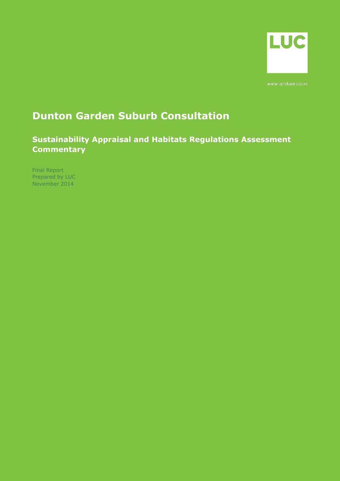

## **Dunton Garden Suburb Consultation**

**Sustainability Appraisal and Habitats Regulations Assessment Commentary**

Final Report Prepared by LUC November 2014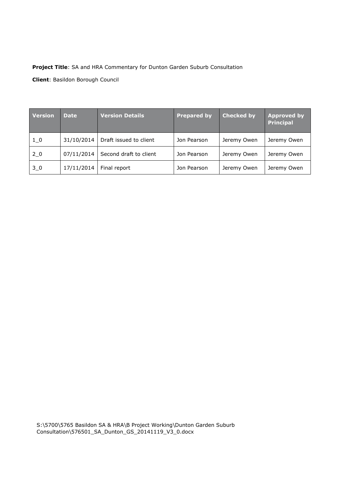## **Project Title**: SA and HRA Commentary for Dunton Garden Suburb Consultation

**Client**: Basildon Borough Council

| <b>Version</b> | <b>Date</b> | <b>Version Details</b> | <b>Prepared by</b> | <b>Checked by</b> | <b>Approved by</b><br><b>Principal</b> |
|----------------|-------------|------------------------|--------------------|-------------------|----------------------------------------|
| $1_{0}$        | 31/10/2014  | Draft issued to client | Jon Pearson        | Jeremy Owen       | Jeremy Owen                            |
| 20             | 07/11/2014  | Second draft to client | Jon Pearson        | Jeremy Owen       | Jeremy Owen                            |
| $3-0$          | 17/11/2014  | Final report           | Jon Pearson        | Jeremy Owen       | Jeremy Owen                            |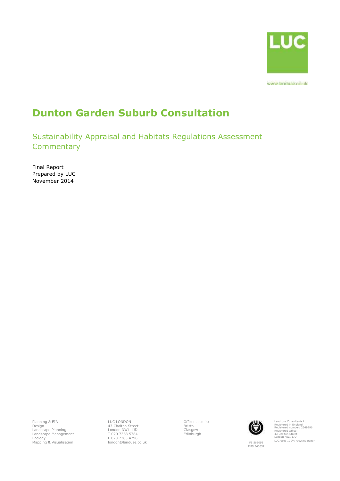

# **Dunton Garden Suburb Consultation**

Sustainability Appraisal and Habitats Regulations Assessment **Commentary** 

Final Report Prepared by LUC November 2014

Planning & EIA Design Landscape Planning Landscape Management Ecology Mapping & Visualisation LUC LONDON 43 Chalton Street London NW1 1JD T 020 7383 5784 F 020 7383 4798 london@landuse.co.uk Offices also in: Bristol Glasgow Edinburgh



Land Use Consultants Ltd Registered in England Registered number: 2549296 Registered Office: 43 Chalton Street London NW1 1JD LUC uses 100% recycled paper

FS 566056 EMS 566057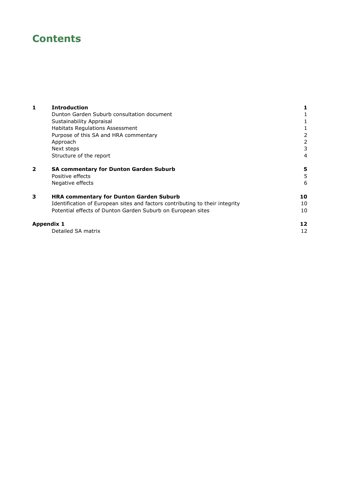## **Contents**

| 1                       | <b>Introduction</b>                                                          |    |
|-------------------------|------------------------------------------------------------------------------|----|
|                         | Dunton Garden Suburb consultation document                                   |    |
|                         | Sustainability Appraisal                                                     |    |
|                         | Habitats Regulations Assessment                                              |    |
|                         | Purpose of this SA and HRA commentary                                        | 2  |
|                         | Approach                                                                     | 2  |
|                         | Next steps                                                                   | 3  |
|                         | Structure of the report                                                      | 4  |
| $\overline{\mathbf{2}}$ | <b>SA commentary for Dunton Garden Suburb</b>                                | 5  |
|                         | Positive effects                                                             | 5  |
|                         | Negative effects                                                             | 6  |
| 3                       | <b>HRA commentary for Dunton Garden Suburb</b>                               | 10 |
|                         | Identification of European sites and factors contributing to their integrity | 10 |
|                         | Potential effects of Dunton Garden Suburb on European sites                  | 10 |
|                         | <b>Appendix 1</b>                                                            | 12 |
|                         | Detailed SA matrix                                                           | 12 |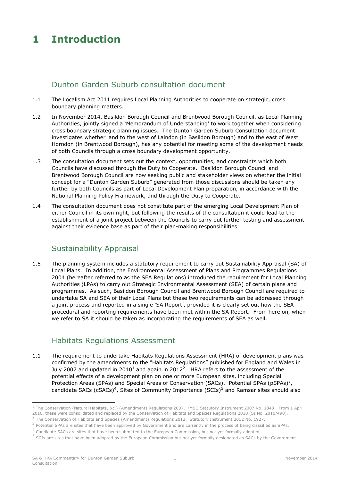## <span id="page-5-0"></span>**1 Introduction**

## Dunton Garden Suburb consultation document

- <span id="page-5-1"></span>1.1 The Localism Act 2011 requires Local Planning Authorities to cooperate on strategic, cross boundary planning matters.
- 1.2 In November 2014, Basildon Borough Council and Brentwood Borough Council, as Local Planning Authorities, jointly signed a 'Memorandum of Understanding' to work together when considering cross boundary strategic planning issues. The Dunton Garden Suburb Consultation document investigates whether land to the west of Laindon (in Basildon Borough) and to the east of West Horndon (in Brentwood Borough), has any potential for meeting some of the development needs of both Councils through a cross boundary development opportunity.
- 1.3 The consultation document sets out the context, opportunities, and constraints which both Councils have discussed through the Duty to Cooperate. Basildon Borough Council and Brentwood Borough Council are now seeking public and stakeholder views on whether the initial concept for a "Dunton Garden Suburb" generated from those discussions should be taken any further by both Councils as part of Local Development Plan preparation, in accordance with the National Planning Policy Framework, and through the Duty to Cooperate.
- 1.4 The consultation document does not constitute part of the emerging Local Development Plan of either Council in its own right, but following the results of the consultation it could lead to the establishment of a joint project between the Councils to carry out further testing and assessment against their evidence base as part of their plan-making responsibilities.

## <span id="page-5-2"></span>Sustainability Appraisal

1.5 The planning system includes a statutory requirement to carry out Sustainability Appraisal (SA) of Local Plans. In addition, the Environmental Assessment of Plans and Programmes Regulations 2004 (hereafter referred to as the SEA Regulations) introduced the requirement for Local Planning Authorities (LPAs) to carry out Strategic Environmental Assessment (SEA) of certain plans and programmes. As such, Basildon Borough Council and Brentwood Borough Council are required to undertake SA and SEA of their Local Plans but these two requirements can be addressed through a joint process and reported in a single 'SA Report', provided it is clearly set out how the SEA procedural and reporting requirements have been met within the SA Report. From here on, when we refer to SA it should be taken as incorporating the requirements of SEA as well.

## <span id="page-5-3"></span>Habitats Regulations Assessment

1.1 The requirement to undertake Habitats Regulations Assessment (HRA) of development plans was confirmed by the amendments to the "Habitats Regulations" published for England and Wales in July 2007 and updated in 2010<sup>1</sup> and again in 2012<sup>2</sup>. HRA refers to the assessment of the potential effects of a development plan on one or more European sites, including Special Protection Areas (SPAs) and Special Areas of Conservation (SACs). Potential SPAs (pSPAs)<sup>3</sup>, candidate SACs (cSACs)<sup>4</sup>, Sites of Community Importance (SCIs)<sup>5</sup> and Ramsar sites should also

-

<sup>1</sup> The Conservation (Natural Habitats, &c.) (Amendment) Regulations 2007. HMSO Statutory Instrument 2007 No. 1843. From 1 April 2010, these were consolidated and replaced by the Conservation of Habitats and Species Regulations 2010 (SI No. 2010/490). <sup>2</sup> The Conservation of Habitats and Species (Amendment) Regulations 2012. Statutory Instrument 2012 No. 1927.

 $3$  Potential SPAs are sites that have been approved by Government and are currently in the process of being classified as SPAs.

<sup>&</sup>lt;sup>4</sup> Candidate SACs are sites that have been submitted to the European Commission, but not yet formally adopted.

<sup>&</sup>lt;sup>5</sup> SCIs are sites that have been adopted by the European Commission but not yet formally designated as SACs by the Government.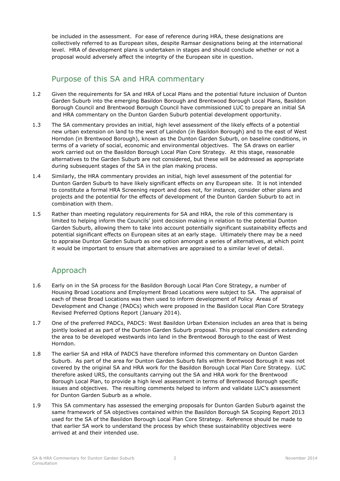be included in the assessment. For ease of reference during HRA, these designations are collectively referred to as European sites, despite Ramsar designations being at the international level. HRA of development plans is undertaken in stages and should conclude whether or not a proposal would adversely affect the integrity of the European site in question.

## <span id="page-6-0"></span>Purpose of this SA and HRA commentary

- 1.2 Given the requirements for SA and HRA of Local Plans and the potential future inclusion of Dunton Garden Suburb into the emerging Basildon Borough and Brentwood Borough Local Plans, Basildon Borough Council and Brentwood Borough Council have commissioned LUC to prepare an initial SA and HRA commentary on the Dunton Garden Suburb potential development opportunity.
- 1.3 The SA commentary provides an initial, high level assessment of the likely effects of a potential new urban extension on land to the west of Laindon (in Basildon Borough) and to the east of West Horndon (in Brentwood Borough), known as the Dunton Garden Suburb, on baseline conditions, in terms of a variety of social, economic and environmental objectives. The SA draws on earlier work carried out on the Basildon Borough Local Plan Core Strategy. At this stage, reasonable alternatives to the Garden Suburb are not considered, but these will be addressed as appropriate during subsequent stages of the SA in the plan making process.
- 1.4 Similarly, the HRA commentary provides an initial, high level assessment of the potential for Dunton Garden Suburb to have likely significant effects on any European site. It is not intended to constitute a formal HRA Screening report and does not, for instance, consider other plans and projects and the potential for the effects of development of the Dunton Garden Suburb to act in combination with them.
- 1.5 Rather than meeting regulatory requirements for SA and HRA, the role of this commentary is limited to helping inform the Councils' joint decision making in relation to the potential Dunton Garden Suburb, allowing them to take into account potentially significant sustainability effects and potential significant effects on European sites at an early stage. Ultimately there may be a need to appraise Dunton Garden Suburb as one option amongst a series of alternatives, at which point it would be important to ensure that alternatives are appraised to a similar level of detail.

## <span id="page-6-1"></span>Approach

- 1.6 Early on in the SA process for the Basildon Borough Local Plan Core Strategy, a number of Housing Broad Locations and Employment Broad Locations were subject to SA. The appraisal of each of these Broad Locations was then used to inform development of Policy Areas of Development and Change (PADCs) which were proposed in the Basildon Local Plan Core Strategy Revised Preferred Options Report (January 2014).
- 1.7 One of the preferred PADCs, PADC5: West Basildon Urban Extension includes an area that is being jointly looked at as part of the Dunton Garden Suburb proposal. This proposal considers extending the area to be developed westwards into land in the Brentwood Borough to the east of West Horndon.
- 1.8 The earlier SA and HRA of PADC5 have therefore informed this commentary on Dunton Garden Suburb. As part of the area for Dunton Garden Suburb falls within Brentwood Borough it was not covered by the original SA and HRA work for the Basildon Borough Local Plan Core Strategy. LUC therefore asked URS, the consultants carrying out the SA and HRA work for the Brentwood Borough Local Plan, to provide a high level assessment in terms of Brentwood Borough specific issues and objectives. The resulting comments helped to inform and validate LUC's assessment for Dunton Garden Suburb as a whole.
- 1.9 This SA commentary has assessed the emerging proposals for Dunton Garden Suburb against the same framework of SA objectives contained within the Basildon Borough SA Scoping Report 2013 used for the SA of the Basildon Borough Local Plan Core Strategy. Reference should be made to that earlier SA work to understand the process by which these sustainability objectives were arrived at and their intended use.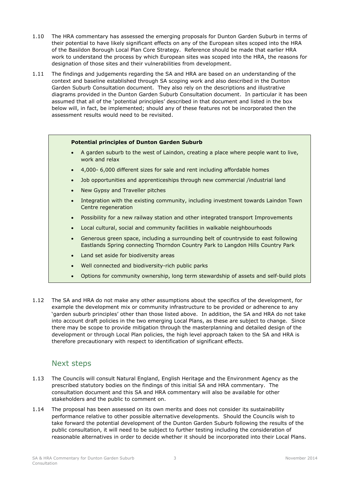- 1.10 The HRA commentary has assessed the emerging proposals for Dunton Garden Suburb in terms of their potential to have likely significant effects on any of the European sites scoped into the HRA of the Basildon Borough Local Plan Core Strategy. Reference should be made that earlier HRA work to understand the process by which European sites was scoped into the HRA, the reasons for designation of those sites and their vulnerabilities from development.
- 1.11 The findings and judgements regarding the SA and HRA are based on an understanding of the context and baseline established through SA scoping work and also described in the Dunton Garden Suburb Consultation document. They also rely on the descriptions and illustrative diagrams provided in the Dunton Garden Suburb Consultation document. In particular it has been assumed that all of the 'potential principles' described in that document and listed in the box below will, in fact, be implemented; should any of these features not be incorporated then the assessment results would need to be revisited.

### **Potential principles of Dunton Garden Suburb**

- A garden suburb to the west of Laindon, creating a place where people want to live, work and relax
- 4,000- 6,000 different sizes for sale and rent including affordable homes
- Job opportunities and apprenticeships through new commercial /industrial land
- New Gypsy and Traveller pitches
- Integration with the existing community, including investment towards Laindon Town Centre regeneration
- Possibility for a new railway station and other integrated transport Improvements
- Local cultural, social and community facilities in walkable neighbourhoods
- Generous green space, including a surrounding belt of countryside to east following Eastlands Spring connecting Thorndon Country Park to Langdon Hills Country Park
- Land set aside for biodiversity areas
- Well connected and biodiversity-rich public parks
- Options for community ownership, long term stewardship of assets and self-build plots
- 1.12 The SA and HRA do not make any other assumptions about the specifics of the development, for example the development mix or community infrastructure to be provided or adherence to any 'garden suburb principles' other than those listed above. In addition, the SA and HRA do not take into account draft policies in the two emerging Local Plans, as these are subject to change. Since there may be scope to provide mitigation through the masterplanning and detailed design of the development or through Local Plan policies, the high level approach taken to the SA and HRA is therefore precautionary with respect to identification of significant effects.

## <span id="page-7-0"></span>Next steps

- 1.13 The Councils will consult Natural England, English Heritage and the Environment Agency as the prescribed statutory bodies on the findings of this initial SA and HRA commentary. The consultation document and this SA and HRA commentary will also be available for other stakeholders and the public to comment on.
- 1.14 The proposal has been assessed on its own merits and does not consider its sustainability performance relative to other possible alternative developments. Should the Councils wish to take forward the potential development of the Dunton Garden Suburb following the results of the public consultation, it will need to be subject to further testing including the consideration of reasonable alternatives in order to decide whether it should be incorporated into their Local Plans.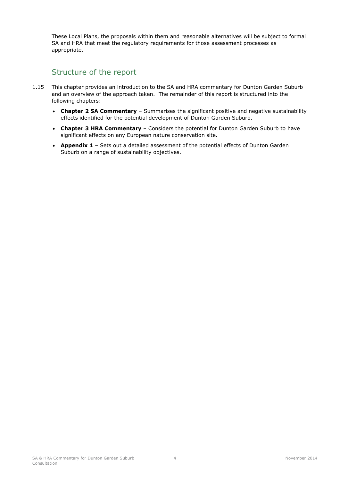These Local Plans, the proposals within them and reasonable alternatives will be subject to formal SA and HRA that meet the regulatory requirements for those assessment processes as appropriate.

## <span id="page-8-0"></span>Structure of the report

- 1.15 This chapter provides an introduction to the SA and HRA commentary for Dunton Garden Suburb and an overview of the approach taken. The remainder of this report is structured into the following chapters:
	- **Chapter 2 SA Commentary** Summarises the significant positive and negative sustainability effects identified for the potential development of Dunton Garden Suburb.
	- **Chapter 3 HRA Commentary**  Considers the potential for Dunton Garden Suburb to have significant effects on any European nature conservation site.
	- **Appendix 1**  Sets out a detailed assessment of the potential effects of Dunton Garden Suburb on a range of sustainability objectives.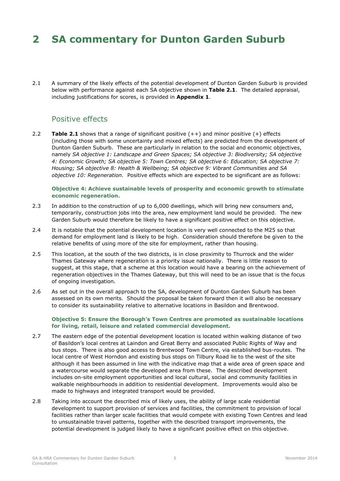## <span id="page-9-0"></span>**2 SA commentary for Dunton Garden Suburb**

<span id="page-9-1"></span>2.1 A summary of the likely effects of the potential development of Dunton Garden Suburb is provided below with performance against each SA objective shown in **Table 2.1**. The detailed appraisal, including justifications for scores, is provided in **Appendix 1**.

## Positive effects

2.2 **Table 2.1** shows that a range of significant positive (++) and minor positive (+) effects (including those with some uncertainty and mixed effects) are predicted from the development of Dunton Garden Suburb. These are particularly in relation to the social and economic objectives, namely *SA objective 1: Landscape and Green Spaces; SA objective 3: Biodiversity; SA objective 4: Economic Growth; SA objective 5: Town Centres; SA objective 6: Education; SA objective 7: Housing; SA objective 8: Health & Wellbeing; SA objective 9: Vibrant Communities and SA objective 10: Regeneration.* Positive effects which are expected to be significant are as follows:

#### **Objective 4: Achieve sustainable levels of prosperity and economic growth to stimulate economic regeneration.**

- 2.3 In addition to the construction of up to 6,000 dwellings, which will bring new consumers and, temporarily, construction jobs into the area, new employment land would be provided. The new Garden Suburb would therefore be likely to have a significant positive effect on this objective.
- 2.4 It is notable that the potential development location is very well connected to the M25 so that demand for employment land is likely to be high. Consideration should therefore be given to the relative benefits of using more of the site for employment, rather than housing.
- 2.5 This location, at the south of the two districts, is in close proximity to Thurrock and the wider Thames Gateway where regeneration is a priority issue nationally. There is little reason to suggest, at this stage, that a scheme at this location would have a bearing on the achievement of regeneration objectives in the Thames Gateway, but this will need to be an issue that is the focus of ongoing investigation.
- 2.6 As set out in the overall approach to the SA, development of Dunton Garden Suburb has been assessed on its own merits. Should the proposal be taken forward then it will also be necessary to consider its sustainability relative to alternative locations in Basildon and Brentwood.

#### **Objective 5: Ensure the Borough's Town Centres are promoted as sustainable locations for living, retail, leisure and related commercial development.**

- 2.7 The eastern edge of the potential development location is located within walking distance of two of Basildon's local centres at Laindon and Great Berry and associated Public Rights of Way and bus stops. There is also good access to Brentwood Town Centre, via established bus-routes. The local centre of West Horndon and existing bus stops on Tilbury Road lie to the west of the site although it has been assumed in line with the indicative map that a wide area of green space and a watercourse would separate the developed area from these. The described development includes on-site employment opportunities and local cultural, social and community facilities in walkable neighbourhoods in addition to residential development. Improvements would also be made to highways and integrated transport would be provided.
- 2.8 Taking into account the described mix of likely uses, the ability of large scale residential development to support provision of services and facilities, the commitment to provision of local facilities rather than larger scale facilities that would compete with existing Town Centres and lead to unsustainable travel patterns, together with the described transport improvements, the potential development is judged likely to have a significant positive effect on this objective.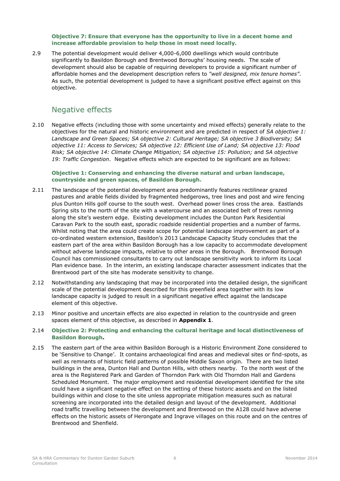#### **Objective 7: Ensure that everyone has the opportunity to live in a decent home and increase affordable provision to help those in most need locally.**

2.9 The potential development would deliver 4,000-6,000 dwellings which would contribute significantly to Basildon Borough and Brentwood Boroughs' housing needs. The scale of development should also be capable of requiring developers to provide a significant number of affordable homes and the development description refers to *"well designed, mix tenure homes"*. As such, the potential development is judged to have a significant positive effect against on this objective.

## <span id="page-10-0"></span>Negative effects

2.10 Negative effects (including those with some uncertainty and mixed effects) generally relate to the objectives for the natural and historic environment and are predicted in respect of *SA objective 1: Landscape and Green Spaces; SA objective 2: Cultural Heritage; SA objective 3 Biodiversity; SA objective 11: Access to Services; SA objective 12: Efficient Use of Land; SA objective 13: Flood Risk; SA objective 14: Climate Change Mitigation; SA objective 15: Pollution;* and *SA objective 19: Traffic Congestion*. Negative effects which are expected to be significant are as follows:

#### **Objective 1: Conserving and enhancing the diverse natural and urban landscape, countryside and green spaces, of Basildon Borough.**

- 2.11 The landscape of the potential development area predominantly features rectilinear grazed pastures and arable fields divided by fragmented hedgerows, tree lines and post and wire fencing plus Dunton Hills golf course to the south west. Overhead power lines cross the area. Eastlands Spring sits to the north of the site with a watercourse and an associated belt of trees running along the site's western edge. Existing development includes the Dunton Park Residential Caravan Park to the south east, sporadic roadside residential properties and a number of farms. Whilst noting that the area could create scope for potential landscape improvement as part of a co-ordinated western extension, Basildon's 2013 Landscape Capacity Study concludes that the eastern part of the area within Basildon Borough has a low capacity to accommodate development without adverse landscape impacts, relative to other areas in the Borough. Brentwood Borough Council has commissioned consultants to carry out landscape sensitivity work to inform its Local Plan evidence base. In the interim, an existing landscape character assessment indicates that the Brentwood part of the site has moderate sensitivity to change.
- 2.12 Notwithstanding any landscaping that may be incorporated into the detailed design, the significant scale of the potential development described for this greenfield area together with its low landscape capacity is judged to result in a significant negative effect against the landscape element of this objective.
- 2.13 Minor positive and uncertain effects are also expected in relation to the countryside and green spaces element of this objective, as described in **Appendix 1**.

### 2.14 **Objective 2: Protecting and enhancing the cultural heritage and local distinctiveness of Basildon Borough.**

2.15 The eastern part of the area within Basildon Borough is a Historic Environment Zone considered to be 'Sensitive to Change'. It contains archaeological find areas and medieval sites or find-spots, as well as remnants of historic field patterns of possible Middle Saxon origin. There are two listed buildings in the area, Dunton Hall and Dunton Hills, with others nearby. To the north west of the area is the Registered Park and Garden of Thorndon Park with Old Thorndon Hall and Gardens Scheduled Monument. The major employment and residential development identified for the site could have a significant negative effect on the setting of these historic assets and on the listed buildings within and close to the site unless appropriate mitigation measures such as natural screening are incorporated into the detailed design and layout of the development. Additional road traffic travelling between the development and Brentwood on the A128 could have adverse effects on the historic assets of Herongate and Ingrave villages on this route and on the centres of Brentwood and Shenfield.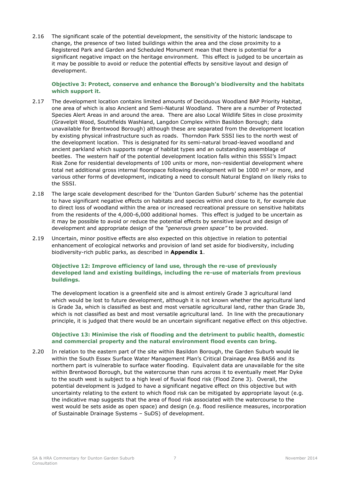2.16 The significant scale of the potential development, the sensitivity of the historic landscape to change, the presence of two listed buildings within the area and the close proximity to a Registered Park and Garden and Scheduled Monument mean that there is potential for a significant negative impact on the heritage environment. This effect is judged to be uncertain as it may be possible to avoid or reduce the potential effects by sensitive layout and design of development.

### **Objective 3: Protect, conserve and enhance the Borough's biodiversity and the habitats which support it.**

- 2.17 The development location contains limited amounts of Deciduous Woodland BAP Priority Habitat, one area of which is also Ancient and Semi-Natural Woodland. There are a number of Protected Species Alert Areas in and around the area. There are also Local Wildlife Sites in close proximity (Gravelpit Wood, Southfields Washland, Langdon Complex within Basildon Borough; data unavailable for Brentwood Borough) although these are separated from the development location by existing physical infrastructure such as roads. Thorndon Park SSSI lies to the north west of the development location. This is designated for its semi-natural broad-leaved woodland and ancient parkland which supports range of habitat types and an outstanding assemblage of beetles. The western half of the potential development location falls within this SSSI's Impact Risk Zone for residential developments of 100 units or more, non-residential development where total net additional gross internal floorspace following development will be 1000 m<sup>2</sup> or more, and various other forms of development, indicating a need to consult Natural England on likely risks to the SSSI.
- 2.18 The large scale development described for the 'Dunton Garden Suburb' scheme has the potential to have significant negative effects on habitats and species within and close to it, for example due to direct loss of woodland within the area or increased recreational pressure on sensitive habitats from the residents of the 4,000-6,000 additional homes. This effect is judged to be uncertain as it may be possible to avoid or reduce the potential effects by sensitive layout and design of development and appropriate design of the *"generous green space"* to be provided.
- 2.19 Uncertain, minor positive effects are also expected on this objective in relation to potential enhancement of ecological networks and provision of land set aside for biodiversity, including biodiversity-rich public parks, as described in **Appendix 1**.

### **Objective 12: Improve efficiency of land use, through the re-use of previously developed land and existing buildings, including the re-use of materials from previous buildings.**

The development location is a greenfield site and is almost entirely Grade 3 agricultural land which would be lost to future development, although it is not known whether the agricultural land is Grade 3a, which is classified as best and most versatile agricultural land, rather than Grade 3b, which is not classified as best and most versatile agricultural land. In line with the precautionary principle, it is judged that there would be an uncertain significant negative effect on this objective.

### **Objective 13: Minimise the risk of flooding and the detriment to public health, domestic and commercial property and the natural environment flood events can bring.**

2.20 In relation to the eastern part of the site within Basildon Borough, the Garden Suburb would lie within the South Essex Surface Water Management Plan's Critical Drainage Area BAS6 and its northern part is vulnerable to surface water flooding. Equivalent data are unavailable for the site within Brentwood Borough, but the watercourse than runs across it to eventually meet Mar Dyke to the south west is subject to a high level of fluvial flood risk (Flood Zone 3). Overall, the potential development is judged to have a significant negative effect on this objective but with uncertainty relating to the extent to which flood risk can be mitigated by appropriate layout (e.g. the indicative map suggests that the area of flood risk associated with the watercourse to the west would be sets aside as open space) and design (e.g. flood resilience measures, incorporation of Sustainable Drainage Systems – SuDS) of development.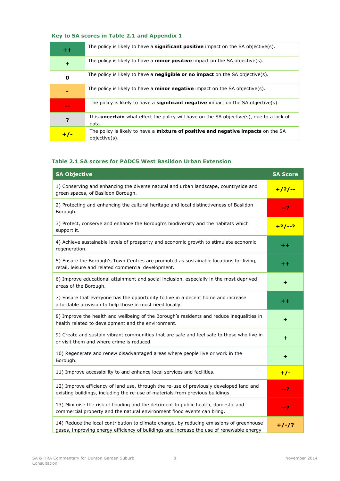## **Key to SA scores in Table 2.1 and Appendix 1**

| $+ +$       | The policy is likely to have a <b>significant positive</b> impact on the SA objective(s).                 |
|-------------|-----------------------------------------------------------------------------------------------------------|
| $\ddot{}$   | The policy is likely to have a <b>minor positive</b> impact on the SA objective(s).                       |
| $\mathbf 0$ | The policy is likely to have a <b>negligible or no impact</b> on the SA objective(s).                     |
|             | The policy is likely to have a <b>minor negative</b> impact on the SA objective(s).                       |
| $\sim$      | The policy is likely to have a <b>significant negative</b> impact on the SA objective(s).                 |
| ?           | It is <b>uncertain</b> what effect the policy will have on the SA objective(s), due to a lack of<br>data. |
| $+/-$       | The policy is likely to have a <b>mixture of positive and negative impacts</b> on the SA<br>objective(s). |

## **Table 2.1 SA scores for PADC5 West Basildon Urban Extension**

| <b>SA Objective</b>                                                                                                                                                                  | <b>SA Score</b> |
|--------------------------------------------------------------------------------------------------------------------------------------------------------------------------------------|-----------------|
| 1) Conserving and enhancing the diverse natural and urban landscape, countryside and<br>green spaces, of Basildon Borough.                                                           | $+ / ? / --$    |
| 2) Protecting and enhancing the cultural heritage and local distinctiveness of Basildon<br>Borough.                                                                                  | --?             |
| 3) Protect, conserve and enhance the Borough's biodiversity and the habitats which<br>support it.                                                                                    | $+2/-2$         |
| 4) Achieve sustainable levels of prosperity and economic growth to stimulate economic<br>regeneration.                                                                               | $^{\mathrm{+}}$ |
| 5) Ensure the Borough's Town Centres are promoted as sustainable locations for living,<br>retail, leisure and related commercial development.                                        | ++              |
| 6) Improve educational attainment and social inclusion, especially in the most deprived<br>areas of the Borough.                                                                     | +               |
| 7) Ensure that everyone has the opportunity to live in a decent home and increase<br>affordable provision to help those in most need locally.                                        | $^{\mathrm{+}}$ |
| 8) Improve the health and wellbeing of the Borough's residents and reduce inequalities in<br>health related to development and the environment.                                      | ٠               |
| 9) Create and sustain vibrant communities that are safe and feel safe to those who live in<br>or visit them and where crime is reduced.                                              | +               |
| 10) Regenerate and renew disadvantaged areas where people live or work in the<br>Borough.                                                                                            | +               |
| 11) Improve accessibility to and enhance local services and facilities.                                                                                                              | $+/-$           |
| 12) Improve efficiency of land use, through the re-use of previously developed land and<br>existing buildings, including the re-use of materials from previous buildings.            | --?             |
| 13) Minimise the risk of flooding and the detriment to public health, domestic and<br>commercial property and the natural environment flood events can bring.                        | --?             |
| 14) Reduce the local contribution to climate change, by reducing emissions of greenhouse<br>gases, improving energy efficiency of buildings and increase the use of renewable energy | $+/-/?$         |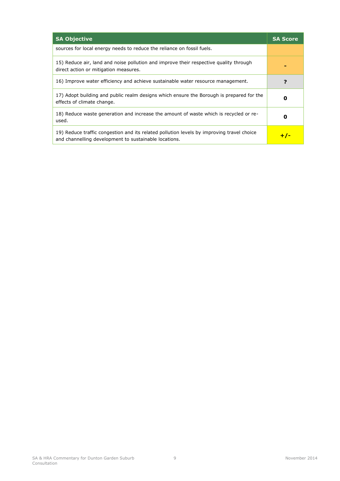| <b>SA Objective</b>                                                                                                                                | <b>SA Score</b> |
|----------------------------------------------------------------------------------------------------------------------------------------------------|-----------------|
| sources for local energy needs to reduce the reliance on fossil fuels.                                                                             |                 |
| 15) Reduce air, land and noise pollution and improve their respective quality through<br>direct action or mitigation measures.                     |                 |
| 16) Improve water efficiency and achieve sustainable water resource management.                                                                    |                 |
| 17) Adopt building and public realm designs which ensure the Borough is prepared for the<br>effects of climate change.                             | Ω               |
| 18) Reduce waste generation and increase the amount of waste which is recycled or re-<br>used.                                                     | 0               |
| 19) Reduce traffic congestion and its related pollution levels by improving travel choice<br>and channelling development to sustainable locations. |                 |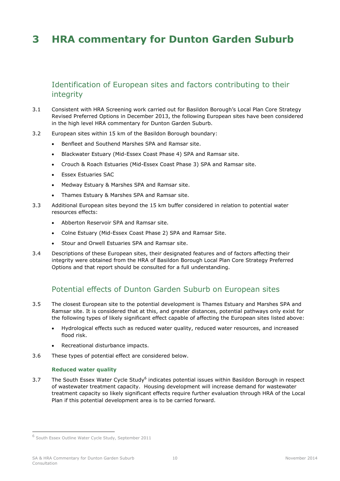## <span id="page-14-0"></span>**3 HRA commentary for Dunton Garden Suburb**

## <span id="page-14-1"></span>Identification of European sites and factors contributing to their integrity

- 3.1 Consistent with HRA Screening work carried out for Basildon Borough's Local Plan Core Strategy Revised Preferred Options in December 2013, the following European sites have been considered in the high level HRA commentary for Dunton Garden Suburb.
- 3.2 European sites within 15 km of the Basildon Borough boundary:
	- Benfleet and Southend Marshes SPA and Ramsar site.
	- Blackwater Estuary (Mid-Essex Coast Phase 4) SPA and Ramsar site.
	- Crouch & Roach Estuaries (Mid-Essex Coast Phase 3) SPA and Ramsar site.
	- Essex Estuaries SAC
	- Medway Estuary & Marshes SPA and Ramsar site.
	- Thames Estuary & Marshes SPA and Ramsar site.
- 3.3 Additional European sites beyond the 15 km buffer considered in relation to potential water resources effects:
	- Abberton Reservoir SPA and Ramsar site.
	- Colne Estuary (Mid-Essex Coast Phase 2) SPA and Ramsar Site.
	- Stour and Orwell Estuaries SPA and Ramsar site.
- <span id="page-14-2"></span>3.4 Descriptions of these European sites, their designated features and of factors affecting their integrity were obtained from the HRA of Basildon Borough Local Plan Core Strategy Preferred Options and that report should be consulted for a full understanding.

## Potential effects of Dunton Garden Suburb on European sites

- 3.5 The closest European site to the potential development is Thames Estuary and Marshes SPA and Ramsar site. It is considered that at this, and greater distances, potential pathways only exist for the following types of likely significant effect capable of affecting the European sites listed above:
	- Hydrological effects such as reduced water quality, reduced water resources, and increased flood risk.
	- Recreational disturbance impacts.
- 3.6 These types of potential effect are considered below.

#### **Reduced water quality**

3.7 The South Essex Water Cycle Study<sup>6</sup> indicates potential issues within Basildon Borough in respect of wastewater treatment capacity. Housing development will increase demand for wastewater treatment capacity so likely significant effects require further evaluation through HRA of the Local Plan if this potential development area is to be carried forward.

-

<sup>6</sup> South Essex Outline Water Cycle Study, September 2011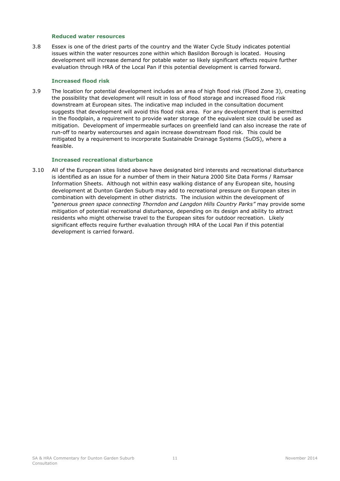#### **Reduced water resources**

3.8 Essex is one of the driest parts of the country and the Water Cycle Study indicates potential issues within the water resources zone within which Basildon Borough is located. Housing development will increase demand for potable water so likely significant effects require further evaluation through HRA of the Local Pan if this potential development is carried forward.

#### **Increased flood risk**

3.9 The location for potential development includes an area of high flood risk (Flood Zone 3), creating the possibility that development will result in loss of flood storage and increased flood risk downstream at European sites. The indicative map included in the consultation document suggests that development will avoid this flood risk area. For any development that is permitted in the floodplain, a requirement to provide water storage of the equivalent size could be used as mitigation. Development of impermeable surfaces on greenfield land can also increase the rate of run-off to nearby watercourses and again increase downstream flood risk. This could be mitigated by a requirement to incorporate Sustainable Drainage Systems (SuDS), where a feasible.

#### **Increased recreational d**i**sturbance**

3.10 All of the European sites listed above have designated bird interests and recreational disturbance is identified as an issue for a number of them in their Natura 2000 Site Data Forms / Ramsar Information Sheets. Although not within easy walking distance of any European site, housing development at Dunton Garden Suburb may add to recreational pressure on European sites in combination with development in other districts. The inclusion within the development of *"generous green space connecting Thorndon and Langdon Hills Country Parks"* may provide some mitigation of potential recreational disturbance, depending on its design and ability to attract residents who might otherwise travel to the European sites for outdoor recreation. Likely significant effects require further evaluation through HRA of the Local Pan if this potential development is carried forward.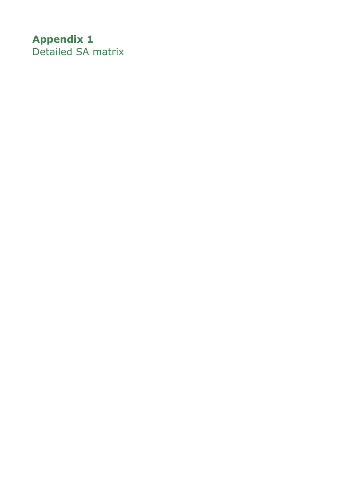# <span id="page-16-1"></span><span id="page-16-0"></span>**Appendix 1** Detailed SA matrix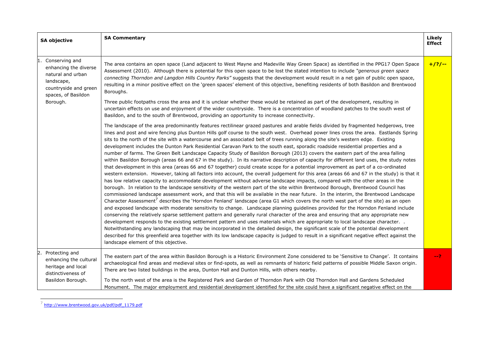| <b>SA objective</b>                                                                                                        | <b>SA Commentary</b>                                                                                                                                                                                                                                                                                                                                                                                                                                                                                                                                                                                                                                                                                                                                                                                                                                                                                                                                                                                                                                                                                                                                                                                                                                                                                                                                                                                                                                                                                                                                                                                                                                                                                                                                                                                                                                                                                                                                                                                                                                                                                                                                                                                                                                                                                                                                                                                                                 | Likely<br><b>Effect</b> |
|----------------------------------------------------------------------------------------------------------------------------|--------------------------------------------------------------------------------------------------------------------------------------------------------------------------------------------------------------------------------------------------------------------------------------------------------------------------------------------------------------------------------------------------------------------------------------------------------------------------------------------------------------------------------------------------------------------------------------------------------------------------------------------------------------------------------------------------------------------------------------------------------------------------------------------------------------------------------------------------------------------------------------------------------------------------------------------------------------------------------------------------------------------------------------------------------------------------------------------------------------------------------------------------------------------------------------------------------------------------------------------------------------------------------------------------------------------------------------------------------------------------------------------------------------------------------------------------------------------------------------------------------------------------------------------------------------------------------------------------------------------------------------------------------------------------------------------------------------------------------------------------------------------------------------------------------------------------------------------------------------------------------------------------------------------------------------------------------------------------------------------------------------------------------------------------------------------------------------------------------------------------------------------------------------------------------------------------------------------------------------------------------------------------------------------------------------------------------------------------------------------------------------------------------------------------------------|-------------------------|
| Conserving and<br>enhancing the diverse<br>natural and urban<br>landscape,<br>countryside and green<br>spaces, of Basildon | The area contains an open space (Land adjacent to West Mayne and Madeville Way Green Space) as identified in the PPG17 Open Space<br>Assessment (2010). Although there is potential for this open space to be lost the stated intention to include "generous green space<br>connecting Thorndon and Langdon Hills Country Parks" suggests that the development would result in a net gain of public open space,<br>resulting in a minor positive effect on the 'green spaces' element of this objective, benefiting residents of both Basildon and Brentwood<br>Boroughs.                                                                                                                                                                                                                                                                                                                                                                                                                                                                                                                                                                                                                                                                                                                                                                                                                                                                                                                                                                                                                                                                                                                                                                                                                                                                                                                                                                                                                                                                                                                                                                                                                                                                                                                                                                                                                                                            | $+ / ? / --$            |
| Borough.                                                                                                                   | Three public footpaths cross the area and it is unclear whether these would be retained as part of the development, resulting in<br>uncertain effects on use and enjoyment of the wider countryside. There is a concentration of woodland patches to the south west of<br>Basildon, and to the south of Brentwood, providing an opportunity to increase connectivity.                                                                                                                                                                                                                                                                                                                                                                                                                                                                                                                                                                                                                                                                                                                                                                                                                                                                                                                                                                                                                                                                                                                                                                                                                                                                                                                                                                                                                                                                                                                                                                                                                                                                                                                                                                                                                                                                                                                                                                                                                                                                |                         |
|                                                                                                                            | The landscape of the area predominantly features rectilinear grazed pastures and arable fields divided by fragmented hedgerows, tree<br>lines and post and wire fencing plus Dunton Hills golf course to the south west. Overhead power lines cross the area. Eastlands Spring<br>sits to the north of the site with a watercourse and an associated belt of trees running along the site's western edge. Existing<br>development includes the Dunton Park Residential Caravan Park to the south east, sporadic roadside residential properties and a<br>number of farms. The Green Belt Landscape Capacity Study of Basildon Borough (2013) covers the eastern part of the area falling<br>within Basildon Borough (areas 66 and 67 in the study). In its narrative description of capacity for different land uses, the study notes<br>that development in this area (areas 66 and 67 together) could create scope for a potential improvement as part of a co-ordinated<br>western extension. However, taking all factors into account, the overall judgement for this area (areas 66 and 67 in the study) is that it<br>has low relative capacity to accommodate development without adverse landscape impacts, compared with the other areas in the<br>borough. In relation to the landscape sensitivity of the western part of the site within Brentwood Borough, Brentwood Council has<br>commissioned landscape assessment work, and that this will be available in the near future. In the interim, the Brentwood Landscape<br>Character Assessment <sup>7</sup> describes the 'Horndon Fenland' landscape (area G1 which covers the north west part of the site) as an open<br>and exposed landscape with moderate sensitivity to change. Landscape planning guidelines provided for the Horndon Fenland include<br>conserving the relatively sparse settlement pattern and generally rural character of the area and ensuring that any appropriate new<br>development responds to the existing settlement pattern and uses materials which are appropriate to local landscape character. .<br>Notwithstanding any landscaping that may be incorporated in the detailed design, the significant scale of the potential development<br>described for this greenfield area together with its low landscape capacity is judged to result in a significant negative effect against the<br>landscape element of this objective. |                         |
| Protecting and<br>enhancing the cultural<br>heritage and local<br>distinctiveness of                                       | The eastern part of the area within Basildon Borough is a Historic Environment Zone considered to be 'Sensitive to Change'. It contains<br>archaeological find areas and medieval sites or find-spots, as well as remnants of historic field patterns of possible Middle Saxon origin.<br>There are two listed buildings in the area, Dunton Hall and Dunton Hills, with others nearby.                                                                                                                                                                                                                                                                                                                                                                                                                                                                                                                                                                                                                                                                                                                                                                                                                                                                                                                                                                                                                                                                                                                                                                                                                                                                                                                                                                                                                                                                                                                                                                                                                                                                                                                                                                                                                                                                                                                                                                                                                                              | $-2$                    |
| Basildon Borough.                                                                                                          | To the north west of the area is the Registered Park and Garden of Thorndon Park with Old Thorndon Hall and Gardens Scheduled<br>Monument. The major employment and residential development identified for the site could have a significant negative effect on the                                                                                                                                                                                                                                                                                                                                                                                                                                                                                                                                                                                                                                                                                                                                                                                                                                                                                                                                                                                                                                                                                                                                                                                                                                                                                                                                                                                                                                                                                                                                                                                                                                                                                                                                                                                                                                                                                                                                                                                                                                                                                                                                                                  |                         |

<sup>&</sup>lt;sup>7</sup> [http://www.brentwood.gov.uk/pdf/pdf\\_1179.pdf](http://www.brentwood.gov.uk/pdf/pdf_1179.pdf)

ł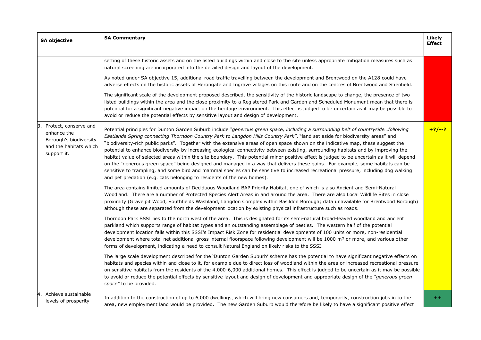| <b>SA objective</b>                                                                                           | <b>SA Commentary</b>                                                                                                                                                                                                                                                                                                                                                                                                                                                                                                                                                                                                                                                                                                                                                                                                                                                                                                                                                                                                                           | <b>Likely</b><br><b>Effect</b> |
|---------------------------------------------------------------------------------------------------------------|------------------------------------------------------------------------------------------------------------------------------------------------------------------------------------------------------------------------------------------------------------------------------------------------------------------------------------------------------------------------------------------------------------------------------------------------------------------------------------------------------------------------------------------------------------------------------------------------------------------------------------------------------------------------------------------------------------------------------------------------------------------------------------------------------------------------------------------------------------------------------------------------------------------------------------------------------------------------------------------------------------------------------------------------|--------------------------------|
|                                                                                                               | setting of these historic assets and on the listed buildings within and close to the site unless appropriate mitigation measures such as<br>natural screening are incorporated into the detailed design and layout of the development.                                                                                                                                                                                                                                                                                                                                                                                                                                                                                                                                                                                                                                                                                                                                                                                                         |                                |
|                                                                                                               | As noted under SA objective 15, additional road traffic travelling between the development and Brentwood on the A128 could have<br>adverse effects on the historic assets of Herongate and Ingrave villages on this route and on the centres of Brentwood and Shenfield.                                                                                                                                                                                                                                                                                                                                                                                                                                                                                                                                                                                                                                                                                                                                                                       |                                |
|                                                                                                               | The significant scale of the development proposed described, the sensitivity of the historic landscape to change, the presence of two<br>listed buildings within the area and the close proximity to a Registered Park and Garden and Scheduled Monument mean that there is<br>potential for a significant negative impact on the heritage environment. This effect is judged to be uncertain as it may be possible to<br>avoid or reduce the potential effects by sensitive layout and design of development.                                                                                                                                                                                                                                                                                                                                                                                                                                                                                                                                 |                                |
| Protect, conserve and<br>Β.<br>enhance the<br>Borough's biodiversity<br>and the habitats which<br>support it. | Potential principles for Dunton Garden Suburb include "generous green space, including a surrounding belt of countrysidefollowing<br>Eastlands Spring connecting Thorndon Country Park to Langdon Hills Country Park", "land set aside for biodiversity areas" and<br>"biodiversity-rich public parks". Together with the extensive areas of open space shown on the indicative map, these suggest the<br>potential to enhance biodiversity by increasing ecological connectivity between existing, surrounding habitats and by improving the<br>habitat value of selected areas within the site boundary. This potential minor positive effect is judged to be uncertain as it will depend<br>on the "generous green space" being designed and managed in a way that delivers these gains. For example, some habitats can be<br>sensitive to trampling, and some bird and mammal species can be sensitive to increased recreational pressure, including dog walking<br>and pet predation (e.g. cats belonging to residents of the new homes). | $+2/-2$                        |
|                                                                                                               | The area contains limited amounts of Deciduous Woodland BAP Priority Habitat, one of which is also Ancient and Semi-Natural<br>Woodland. There are a number of Protected Species Alert Areas in and around the area. There are also Local Wildlife Sites in close<br>proximity (Gravelpit Wood, Southfields Washland, Langdon Complex within Basildon Borough; data unavailable for Brentwood Borough)<br>although these are separated from the development location by existing physical infrastructure such as roads.                                                                                                                                                                                                                                                                                                                                                                                                                                                                                                                        |                                |
|                                                                                                               | Thorndon Park SSSI lies to the north west of the area. This is designated for its semi-natural broad-leaved woodland and ancient<br>parkland which supports range of habitat types and an outstanding assemblage of beetles. The western half of the potential<br>development location falls within this SSSI's Impact Risk Zone for residential developments of 100 units or more, non-residential<br>development where total net additional gross internal floorspace following development will be 1000 m <sup>2</sup> or more, and various other<br>forms of development, indicating a need to consult Natural England on likely risks to the SSSI.                                                                                                                                                                                                                                                                                                                                                                                        |                                |
|                                                                                                               | The large scale development described for the 'Dunton Garden Suburb' scheme has the potential to have significant negative effects on<br>habitats and species within and close to it, for example due to direct loss of woodland within the area or increased recreational pressure<br>on sensitive habitats from the residents of the 4,000-6,000 additional homes. This effect is judged to be uncertain as it may be possible<br>to avoid or reduce the potential effects by sensitive layout and design of development and appropriate design of the "generous green<br>space" to be provided.                                                                                                                                                                                                                                                                                                                                                                                                                                             |                                |
| Achieve sustainable<br>4.<br>levels of prosperity                                                             | In addition to the construction of up to 6,000 dwellings, which will bring new consumers and, temporarily, construction jobs in to the<br>area, new employment land would be provided. The new Garden Suburb would therefore be likely to have a significant positive effect                                                                                                                                                                                                                                                                                                                                                                                                                                                                                                                                                                                                                                                                                                                                                                   | $^{\mathrm{+}}$                |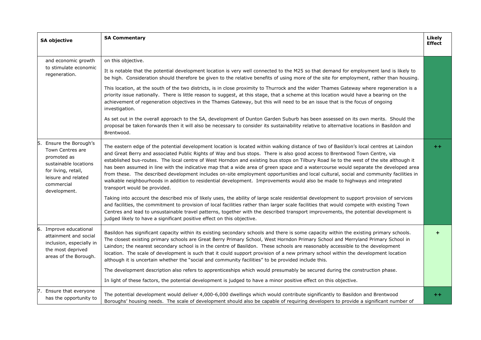| <b>SA objective</b>                                                                                                                                          | <b>SA Commentary</b>                                                                                                                                                                                                                                                                                                                                                                                                                                                                                                                                                                                                                                                                                                                                                                                                                                             | Likely<br><b>Effect</b> |
|--------------------------------------------------------------------------------------------------------------------------------------------------------------|------------------------------------------------------------------------------------------------------------------------------------------------------------------------------------------------------------------------------------------------------------------------------------------------------------------------------------------------------------------------------------------------------------------------------------------------------------------------------------------------------------------------------------------------------------------------------------------------------------------------------------------------------------------------------------------------------------------------------------------------------------------------------------------------------------------------------------------------------------------|-------------------------|
|                                                                                                                                                              |                                                                                                                                                                                                                                                                                                                                                                                                                                                                                                                                                                                                                                                                                                                                                                                                                                                                  |                         |
| and economic growth                                                                                                                                          | on this objective.                                                                                                                                                                                                                                                                                                                                                                                                                                                                                                                                                                                                                                                                                                                                                                                                                                               |                         |
| to stimulate economic<br>regeneration.                                                                                                                       | It is notable that the potential development location is very well connected to the M25 so that demand for employment land is likely to<br>be high. Consideration should therefore be given to the relative benefits of using more of the site for employment, rather than housing.                                                                                                                                                                                                                                                                                                                                                                                                                                                                                                                                                                              |                         |
|                                                                                                                                                              | This location, at the south of the two districts, is in close proximity to Thurrock and the wider Thames Gateway where regeneration is a<br>priority issue nationally. There is little reason to suggest, at this stage, that a scheme at this location would have a bearing on the<br>achievement of regeneration objectives in the Thames Gateway, but this will need to be an issue that is the focus of ongoing<br>investigation.                                                                                                                                                                                                                                                                                                                                                                                                                            |                         |
|                                                                                                                                                              | As set out in the overall approach to the SA, development of Dunton Garden Suburb has been assessed on its own merits. Should the<br>proposal be taken forwards then it will also be necessary to consider its sustainability relative to alternative locations in Basildon and<br>Brentwood.                                                                                                                                                                                                                                                                                                                                                                                                                                                                                                                                                                    |                         |
| Ensure the Borough's<br>Town Centres are<br>promoted as<br>sustainable locations<br>for living, retail,<br>leisure and related<br>commercial<br>development. | The eastern edge of the potential development location is located within walking distance of two of Basildon's local centres at Laindon<br>and Great Berry and associated Public Rights of Way and bus stops. There is also good access to Brentwood Town Centre, via<br>established bus-routes. The local centre of West Horndon and existing bus stops on Tilbury Road lie to the west of the site although it<br>has been assumed in line with the indicative map that a wide area of green space and a watercourse would separate the developed area<br>from these. The described development includes on-site employment opportunities and local cultural, social and community facilities in<br>walkable neighbourhoods in addition to residential development. Improvements would also be made to highways and integrated<br>transport would be provided. | $+ +$                   |
|                                                                                                                                                              | Taking into account the described mix of likely uses, the ability of large scale residential development to support provision of services<br>and facilities, the commitment to provision of local facilities rather than larger scale facilities that would compete with existing Town<br>Centres and lead to unsustainable travel patterns, together with the described transport improvements, the potential development is<br>judged likely to have a significant positive effect on this objective.                                                                                                                                                                                                                                                                                                                                                          |                         |
| Improve educational<br>attainment and social<br>inclusion, especially in<br>the most deprived<br>areas of the Borough.                                       | Basildon has significant capacity within its existing secondary schools and there is some capacity within the existing primary schools.<br>The closest existing primary schools are Great Berry Primary School, West Horndon Primary School and Merryland Primary School in<br>Laindon; the nearest secondary school is in the centre of Basildon. These schools are reasonably accessible to the development<br>location. The scale of development is such that it could support provision of a new primary school within the development location<br>although it is uncertain whether the "social and community facilities" to be provided include this.<br>The development description also refers to apprenticeships which would presumably be secured during the construction phase.                                                                        |                         |
|                                                                                                                                                              | In light of these factors, the potential development is judged to have a minor positive effect on this objective.                                                                                                                                                                                                                                                                                                                                                                                                                                                                                                                                                                                                                                                                                                                                                |                         |
| Ensure that everyone                                                                                                                                         |                                                                                                                                                                                                                                                                                                                                                                                                                                                                                                                                                                                                                                                                                                                                                                                                                                                                  |                         |
| has the opportunity to                                                                                                                                       | The potential development would deliver 4,000-6,000 dwellings which would contribute significantly to Basildon and Brentwood<br>Boroughs' housing needs. The scale of development should also be capable of requiring developers to provide a significant number of                                                                                                                                                                                                                                                                                                                                                                                                                                                                                                                                                                                              | $+ +$                   |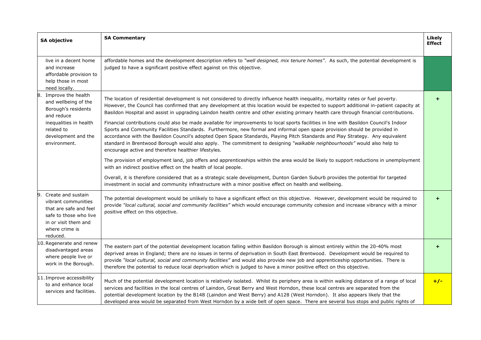| <b>SA objective</b>                                                                                                                                       | <b>SA Commentary</b>                                                                                                                                                                                                                                                                                                                                                                                                                                                                                                                                                                        | <b>Likely</b><br><b>Effect</b> |
|-----------------------------------------------------------------------------------------------------------------------------------------------------------|---------------------------------------------------------------------------------------------------------------------------------------------------------------------------------------------------------------------------------------------------------------------------------------------------------------------------------------------------------------------------------------------------------------------------------------------------------------------------------------------------------------------------------------------------------------------------------------------|--------------------------------|
| live in a decent home<br>and increase<br>affordable provision to<br>help those in most<br>need locally.                                                   | affordable homes and the development description refers to "well designed, mix tenure homes". As such, the potential development is<br>judged to have a significant positive effect against on this objective.                                                                                                                                                                                                                                                                                                                                                                              |                                |
| Improve the health<br>8.<br>and wellbeing of the<br>Borough's residents<br>and reduce                                                                     | The location of residential development is not considered to directly influence health inequality, mortality rates or fuel poverty.<br>However, the Council has confirmed that any development at this location would be expected to support additional in-patient capacity at<br>Basildon Hospital and assist in upgrading Laindon health centre and other existing primary health care through financial contributions.                                                                                                                                                                   | ٠                              |
| inequalities in health<br>related to<br>development and the<br>environment.                                                                               | Financial contributions could also be made available for improvements to local sports facilities in line with Basildon Council's Indoor<br>Sports and Community Facilities Standards. Furthermore, new formal and informal open space provision should be provided in<br>accordance with the Basildon Council's adopted Open Space Standards, Playing Pitch Standards and Play Strategy. Any equivalent<br>standard in Brentwood Borough would also apply. The commitment to designing "walkable neighbourhoods" would also help to<br>encourage active and therefore healthier lifestyles. |                                |
|                                                                                                                                                           | The provision of employment land, job offers and apprenticeships within the area would be likely to support reductions in unemployment<br>with an indirect positive effect on the health of local people.                                                                                                                                                                                                                                                                                                                                                                                   |                                |
|                                                                                                                                                           | Overall, it is therefore considered that as a strategic scale development, Dunton Garden Suburb provides the potential for targeted<br>investment in social and community infrastructure with a minor positive effect on health and wellbeing.                                                                                                                                                                                                                                                                                                                                              |                                |
| Create and sustain<br>9.<br>vibrant communities<br>that are safe and feel<br>safe to those who live<br>in or visit them and<br>where crime is<br>reduced. | The potential development would be unlikely to have a significant effect on this objective. However, development would be required to<br>provide "local cultural, social and community facilities" which would encourage community cohesion and increase vibrancy with a minor<br>positive effect on this objective.                                                                                                                                                                                                                                                                        | ٠                              |
| 10. Regenerate and renew<br>disadvantaged areas<br>where people live or<br>work in the Borough.                                                           | The eastern part of the potential development location falling within Basildon Borough is almost entirely within the 20-40% most<br>deprived areas in England; there are no issues in terms of deprivation in South East Brentwood. Development would be required to<br>provide "local cultural, social and community facilities" and would also provide new job and apprenticeship opportunities. There is<br>therefore the potential to reduce local deprivation which is judged to have a minor positive effect on this objective.                                                       | $\ddot{}$                      |
| 11. Improve accessibility<br>to and enhance local<br>services and facilities.                                                                             | Much of the potential development location is relatively isolated. Whilst its periphery area is within walking distance of a range of local<br>services and facilities in the local centres of Laindon, Great Berry and West Horndon, these local centres are separated from the<br>potential development location by the B148 (Laindon and West Berry) and A128 (West Horndon). It also appears likely that the<br>developed area would be separated from West Horndon by a wide belt of open space. There are several bus stops and public rights of                                      | $+/-$                          |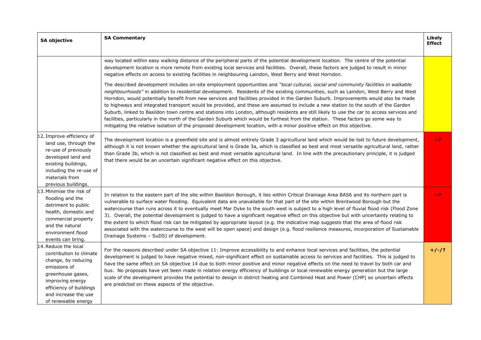| <b>SA objective</b>                                                                                                                                                                                       | <b>SA Commentary</b>                                                                                                                                                                                                                                                                                                                                                                                                                                                                                                                                                                                                                                                                                                                                                                                                                                                                                                                                                 | Likely<br><b>Effect</b> |
|-----------------------------------------------------------------------------------------------------------------------------------------------------------------------------------------------------------|----------------------------------------------------------------------------------------------------------------------------------------------------------------------------------------------------------------------------------------------------------------------------------------------------------------------------------------------------------------------------------------------------------------------------------------------------------------------------------------------------------------------------------------------------------------------------------------------------------------------------------------------------------------------------------------------------------------------------------------------------------------------------------------------------------------------------------------------------------------------------------------------------------------------------------------------------------------------|-------------------------|
|                                                                                                                                                                                                           | way located within easy walking distance of the peripheral parts of the potential development location. The centre of the potential<br>development location is more remote from existing local services and facilities. Overall, these factors are judged to result in minor<br>negative effects on access to existing facilities in neighbouring Laindon, West Berry and West Horndon.                                                                                                                                                                                                                                                                                                                                                                                                                                                                                                                                                                              |                         |
|                                                                                                                                                                                                           | The described development includes on-site employment opportunities and "local cultural, social and community facilities in walkable<br>neighbourhoods" in addition to residential development. Residents of the existing communities, such as Laindon, West Berry and West<br>Horndon, would potentially benefit from new services and facilities provided in the Garden Suburb. Improvements would also be made<br>to highways and integrated transport would be provided, and these are assumed to include a new station to the south of the Garden<br>Suburb, linked to Basildon town centre and stations into London, although residents are still likely to use the car to access services and<br>facilities, particularly in the north of the Garden Suburb which would be furthest from the station. These factors go some way to<br>mitigating the relative isolation of the proposed development location, with a minor positive effect on this objective. |                         |
| 12. Improve efficiency of<br>land use, through the<br>re-use of previously<br>developed land and<br>existing buildings,<br>including the re-use of<br>materials from<br>previous buildings.               | The development location is a greenfield site and is almost entirely Grade 3 agricultural land which would be lost to future development,<br>although it is not known whether the agricultural land is Grade 3a, which is classified as best and most versatile agricultural land, rather<br>than Grade 3b, which is not classified as best and most versatile agricultural land. In line with the precautionary principle, it is judged<br>that there would be an uncertain significant negative effect on this objective.                                                                                                                                                                                                                                                                                                                                                                                                                                          | $-2$                    |
| 13. Minimise the risk of<br>flooding and the<br>detriment to public<br>health, domestic and<br>commercial property<br>and the natural<br>environment flood<br>events can bring.                           | In relation to the eastern part of the site within Basildon Borough, it lies within Critical Drainage Area BAS6 and its northern part is<br>vulnerable to surface water flooding. Equivalent data are unavailable for that part of the site within Brentwood Borough but the<br>watercourse than runs across it to eventually meet Mar Dyke to the south west is subject to a high level of fluvial flood risk (Flood Zone<br>3). Overall, the potential development is judged to have a significant negative effect on this objective but with uncertainty relating to<br>the extent to which flood risk can be mitigated by appropriate layout (e.g. the indicative map suggests that the area of flood risk<br>associated with the watercourse to the west will be open space) and design (e.g. flood resilience measures, incorporation of Sustainable<br>Drainage Systems - SuDS) of development.                                                               | $-2$                    |
| 14. Reduce the local<br>contribution to climate<br>change, by reducing<br>emissions of<br>greenhouse gases,<br>improving energy<br>efficiency of buildings<br>and increase the use<br>of renewable energy | For the reasons described under SA objective 11: Improve accessibility to and enhance local services and facilities, the potential<br>development is judged to have negative mixed, non-significant effect on sustainable access to services and facilities. This is judged to<br>have the same effect on SA objective 14 due to both minor positive and minor negative effects on the need to travel by both car and<br>bus. No proposals have yet been made in relation energy efficiency of buildings or local renewable energy generation but the large<br>scale of the development provides the potential to design in district heating and Combined Heat and Power (CHP) so uncertain effects<br>are predicted on these aspects of the objective.                                                                                                                                                                                                              | $+/-/?$                 |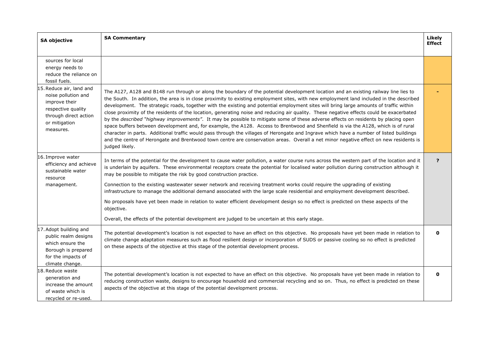| <b>SA objective</b>                                                                                                                           | <b>SA Commentary</b>                                                                                                                                                                                                                                                                                                                                                                                                                                                                                                                                                                                                                                                                                                                                                                                                                                                                                                                                                                                                                                                                                                                                    | <b>Likely</b><br><b>Effect</b> |
|-----------------------------------------------------------------------------------------------------------------------------------------------|---------------------------------------------------------------------------------------------------------------------------------------------------------------------------------------------------------------------------------------------------------------------------------------------------------------------------------------------------------------------------------------------------------------------------------------------------------------------------------------------------------------------------------------------------------------------------------------------------------------------------------------------------------------------------------------------------------------------------------------------------------------------------------------------------------------------------------------------------------------------------------------------------------------------------------------------------------------------------------------------------------------------------------------------------------------------------------------------------------------------------------------------------------|--------------------------------|
| sources for local<br>energy needs to<br>reduce the reliance on<br>fossil fuels.                                                               |                                                                                                                                                                                                                                                                                                                                                                                                                                                                                                                                                                                                                                                                                                                                                                                                                                                                                                                                                                                                                                                                                                                                                         |                                |
| 15. Reduce air, land and<br>noise pollution and<br>improve their<br>respective quality<br>through direct action<br>or mitigation<br>measures. | The A127, A128 and B148 run through or along the boundary of the potential development location and an existing railway line lies to<br>the South. In addition, the area is in close proximity to existing employment sites, with new employment land included in the described<br>development. The strategic roads, together with the existing and potential employment sites will bring large amounts of traffic within<br>close proximity of the residents of the location, generating noise and reducing air quality. These negative effects could be exacerbated<br>by the described "highway improvements". It may be possible to mitigate some of these adverse effects on residents by placing open<br>space buffers between development and, for example, the A128. Access to Brentwood and Shenfield is via the A128, which is of rural<br>character in parts. Additional traffic would pass through the villages of Herongate and Ingrave which have a number of listed buildings<br>and the centre of Herongate and Brentwood town centre are conservation areas. Overall a net minor negative effect on new residents is<br>judged likely. |                                |
| 16. Improve water<br>efficiency and achieve<br>sustainable water<br>resource<br>management.                                                   | In terms of the potential for the development to cause water pollution, a water course runs across the western part of the location and it<br>is underlain by aquifers. These environmental receptors create the potential for localised water pollution during construction although it<br>may be possible to mitigate the risk by good construction practice.<br>Connection to the existing wastewater sewer network and receiving treatment works could require the upgrading of existing<br>infrastructure to manage the additional demand associated with the large scale residential and employment development described.<br>No proposals have yet been made in relation to water efficient development design so no effect is predicted on these aspects of the<br>objective.<br>Overall, the effects of the potential development are judged to be uncertain at this early stage.                                                                                                                                                                                                                                                              | ?                              |
| 17. Adopt building and<br>public realm designs<br>which ensure the<br>Borough is prepared<br>for the impacts of<br>climate change.            | The potential development's location is not expected to have an effect on this objective. No proposals have yet been made in relation to<br>climate change adaptation measures such as flood resilient design or incorporation of SUDS or passive cooling so no effect is predicted<br>on these aspects of the objective at this stage of the potential development process.                                                                                                                                                                                                                                                                                                                                                                                                                                                                                                                                                                                                                                                                                                                                                                            | 0                              |
| 18. Reduce waste<br>generation and<br>increase the amount<br>of waste which is<br>recycled or re-used.                                        | The potential development's location is not expected to have an effect on this objective. No proposals have yet been made in relation to<br>reducing construction waste, designs to encourage household and commercial recycling and so on. Thus, no effect is predicted on these<br>aspects of the objective at this stage of the potential development process.                                                                                                                                                                                                                                                                                                                                                                                                                                                                                                                                                                                                                                                                                                                                                                                       | 0                              |